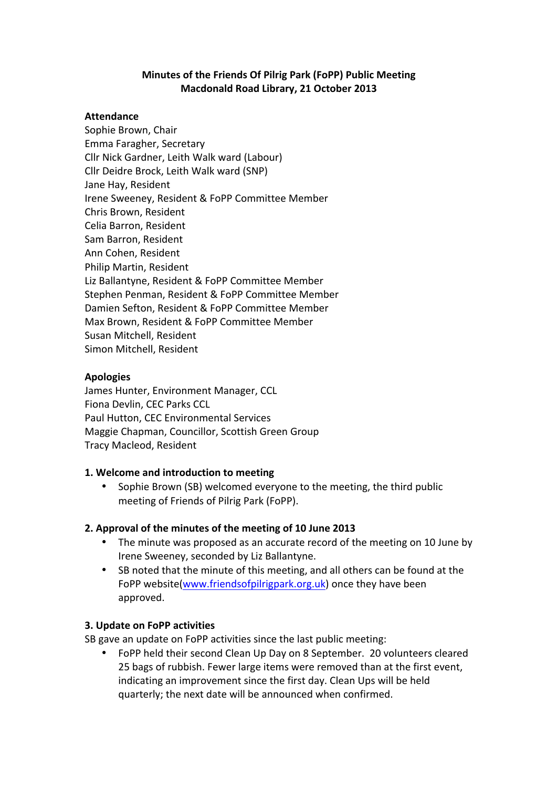# **Minutes of the Friends Of Pilrig Park (FoPP) Public Meeting Macdonald Road Library, 21 October 2013**

#### **Attendance**

Sophie Brown, Chair Emma Faragher, Secretary Cllr Nick Gardner, Leith Walk ward (Labour) Cllr Deidre Brock, Leith Walk ward (SNP) Jane Hay, Resident Irene Sweeney, Resident & FoPP Committee Member Chris Brown, Resident Celia Barron, Resident Sam Barron, Resident Ann Cohen, Resident Philip Martin, Resident Liz Ballantyne, Resident & FoPP Committee Member Stephen Penman, Resident & FoPP Committee Member Damien Sefton, Resident & FoPP Committee Member Max Brown, Resident & FoPP Committee Member Susan Mitchell, Resident Simon Mitchell, Resident

### **Apologies**

James Hunter, Environment Manager, CCL Fiona Devlin, CEC Parks CCL Paul Hutton, CEC Environmental Services Maggie Chapman, Councillor, Scottish Green Group Tracy Macleod, Resident

### **1. Welcome and introduction to meeting**

Sophie Brown (SB) welcomed everyone to the meeting, the third public meeting of Friends of Pilrig Park (FoPP).

# **2. Approval of the minutes of the meeting of 10 June 2013**

- The minute was proposed as an accurate record of the meeting on 10 June by Irene Sweeney, seconded by Liz Ballantyne.
- SB noted that the minute of this meeting, and all others can be found at the FoPP website(www.friendsofpilrigpark.org.uk) once they have been approved.

### **3. Update on FoPP activities**

SB gave an update on FoPP activities since the last public meeting:

• FoPP held their second Clean Up Day on 8 September. 20 volunteers cleared 25 bags of rubbish. Fewer large items were removed than at the first event, indicating an improvement since the first day. Clean Ups will be held quarterly; the next date will be announced when confirmed.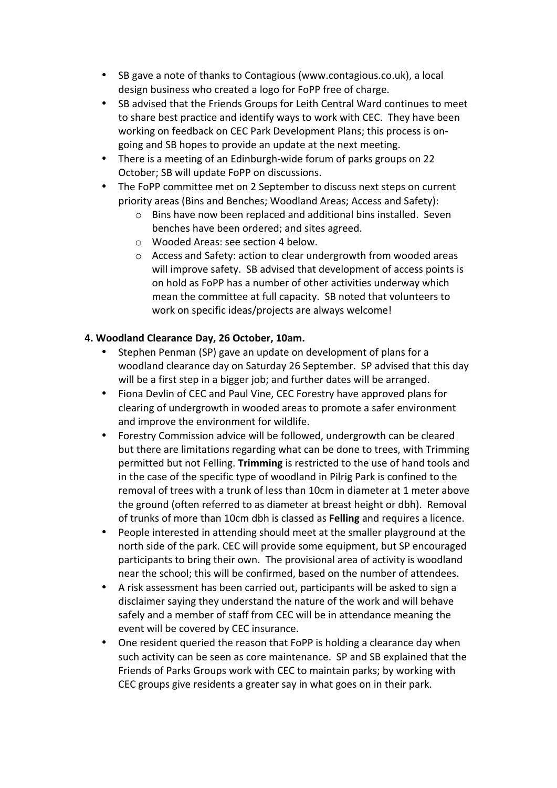- SB gave a note of thanks to Contagious (www.contagious.co.uk), a local design business who created a logo for FoPP free of charge.
- SB advised that the Friends Groups for Leith Central Ward continues to meet to share best practice and identify ways to work with CEC. They have been working on feedback on CEC Park Development Plans; this process is ongoing and SB hopes to provide an update at the next meeting.
- There is a meeting of an Edinburgh-wide forum of parks groups on 22 October: SB will update FoPP on discussions.
- The FoPP committee met on 2 September to discuss next steps on current priority areas (Bins and Benches: Woodland Areas: Access and Safety):
	- $\circ$  Bins have now been replaced and additional bins installed. Seven benches have been ordered; and sites agreed.
	- o Wooded Areas: see section 4 below.
	- $\circ$  Access and Safety: action to clear undergrowth from wooded areas will improve safety. SB advised that development of access points is on hold as FoPP has a number of other activities underway which mean the committee at full capacity. SB noted that volunteers to work on specific ideas/projects are always welcome!

# **4. Woodland Clearance Day, 26 October, 10am.**

- Stephen Penman (SP) gave an update on development of plans for a woodland clearance day on Saturday 26 September. SP advised that this day will be a first step in a bigger job; and further dates will be arranged.
- Fiona Devlin of CEC and Paul Vine, CEC Forestry have approved plans for clearing of undergrowth in wooded areas to promote a safer environment and improve the environment for wildlife.
- Forestry Commission advice will be followed, undergrowth can be cleared but there are limitations regarding what can be done to trees, with Trimming permitted but not Felling. **Trimming** is restricted to the use of hand tools and in the case of the specific type of woodland in Pilrig Park is confined to the removal of trees with a trunk of less than 10cm in diameter at 1 meter above the ground (often referred to as diameter at breast height or dbh). Removal of trunks of more than 10cm dbh is classed as **Felling** and requires a licence.
- People interested in attending should meet at the smaller playground at the north side of the park. CEC will provide some equipment, but SP encouraged participants to bring their own. The provisional area of activity is woodland near the school; this will be confirmed, based on the number of attendees.
- A risk assessment has been carried out, participants will be asked to sign a disclaimer saying they understand the nature of the work and will behave safely and a member of staff from CEC will be in attendance meaning the event will be covered by CEC insurance.
- One resident queried the reason that FoPP is holding a clearance day when such activity can be seen as core maintenance. SP and SB explained that the Friends of Parks Groups work with CEC to maintain parks; by working with CEC groups give residents a greater say in what goes on in their park.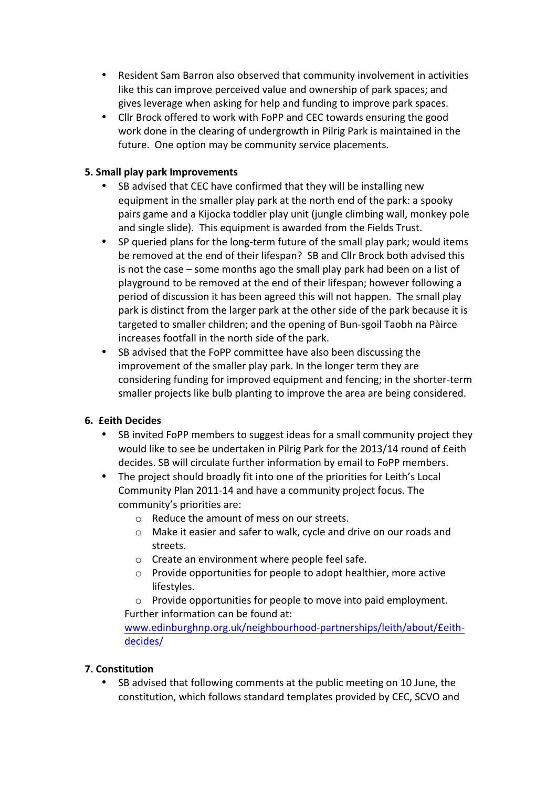- Resident Sam Barron also observed that community involvement in activities like this can improve perceived value and ownership of park spaces; and gives leverage when asking for help and funding to improve park spaces.
- Cllr Brock offered to work with FoPP and CEC towards ensuring the good work done in the clearing of undergrowth in Pilrig Park is maintained in the future. One option may be community service placements.

# **5. Small play park Improvements**

- SB advised that CEC have confirmed that they will be installing new equipment in the smaller play park at the north end of the park: a spooky pairs game and a Kijocka toddler play unit (jungle climbing wall, monkey pole and single slide). This equipment is awarded from the Fields Trust.
- SP queried plans for the long-term future of the small play park; would items be removed at the end of their lifespan? SB and Cllr Brock both advised this is not the case  $-$  some months ago the small play park had been on a list of playground to be removed at the end of their lifespan; however following a period of discussion it has been agreed this will not happen. The small play park is distinct from the larger park at the other side of the park because it is targeted to smaller children; and the opening of Bun-sgoil Taobh na Pàirce increases footfall in the north side of the park.
- SB advised that the FoPP committee have also been discussing the improvement of the smaller play park. In the longer term they are considering funding for improved equipment and fencing; in the shorter-term smaller projects like bulb planting to improve the area are being considered.

### **6. £eith Decides**

- SB invited FoPP members to suggest ideas for a small community project they would like to see be undertaken in Pilrig Park for the 2013/14 round of £eith decides. SB will circulate further information by email to FoPP members.
- The project should broadly fit into one of the priorities for Leith's Local Community Plan 2011-14 and have a community project focus. The community's priorities are:
	- $\circ$  Reduce the amount of mess on our streets.
	- $\circ$  Make it easier and safer to walk, cycle and drive on our roads and streets.
	- $\circ$  Create an environment where people feel safe.
	- $\circ$  Provide opportunities for people to adopt healthier, more active lifestyles.
	- $\circ$  Provide opportunities for people to move into paid employment. Further information can be found at:

www.edinburghnp.org.uk/neighbourhood-partnerships/leith/about/£eithdecides/

### **7. Constitution**

SB advised that following comments at the public meeting on 10 June, the constitution, which follows standard templates provided by CEC, SCVO and